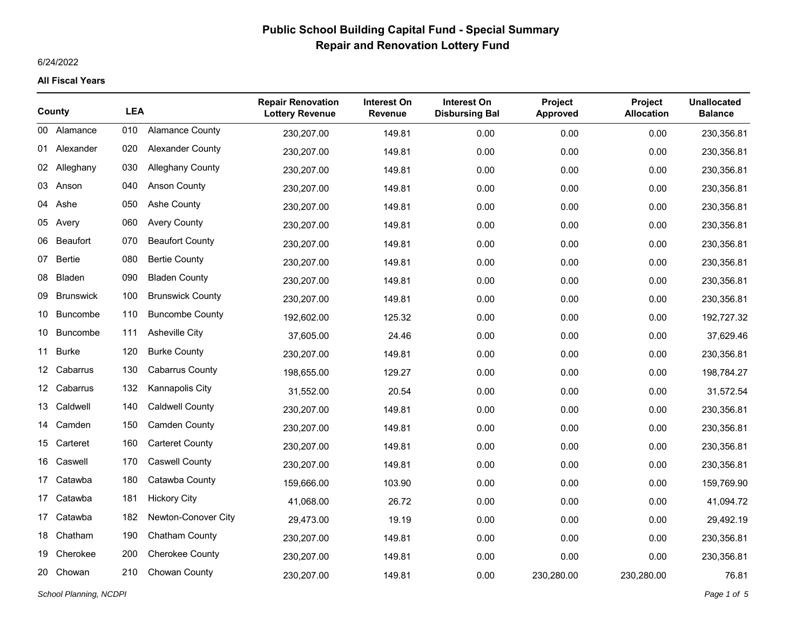## 6/24/2022

|    | County           | <b>LEA</b> |                         | <b>Repair Renovation</b><br><b>Lottery Revenue</b> | <b>Interest On</b><br><b>Revenue</b> | <b>Interest On</b><br><b>Disbursing Bal</b> | Project<br><b>Approved</b> | <b>Project</b><br><b>Allocation</b> | <b>Unallocated</b><br><b>Balance</b> |
|----|------------------|------------|-------------------------|----------------------------------------------------|--------------------------------------|---------------------------------------------|----------------------------|-------------------------------------|--------------------------------------|
|    | 00 Alamance      | 010        | <b>Alamance County</b>  | 230,207.00                                         | 149.81                               | 0.00                                        | 0.00                       | 0.00                                | 230,356.81                           |
|    | 01 Alexander     | 020        | <b>Alexander County</b> | 230,207.00                                         | 149.81                               | 0.00                                        | 0.00                       | 0.00                                | 230,356.81                           |
|    | 02 Alleghany     | 030        | <b>Alleghany County</b> | 230,207.00                                         | 149.81                               | 0.00                                        | 0.00                       | 0.00                                | 230,356.81                           |
| 03 | Anson            | 040        | <b>Anson County</b>     | 230,207.00                                         | 149.81                               | 0.00                                        | 0.00                       | 0.00                                | 230,356.81                           |
| 04 | Ashe             | 050        | <b>Ashe County</b>      | 230,207.00                                         | 149.81                               | 0.00                                        | 0.00                       | 0.00                                | 230,356.81                           |
| 05 | Avery            | 060        | <b>Avery County</b>     | 230,207.00                                         | 149.81                               | 0.00                                        | 0.00                       | 0.00                                | 230,356.81                           |
| 06 | Beaufort         | 070        | <b>Beaufort County</b>  | 230,207.00                                         | 149.81                               | 0.00                                        | 0.00                       | 0.00                                | 230,356.81                           |
|    | 07 Bertie        | 080        | <b>Bertie County</b>    | 230,207.00                                         | 149.81                               | 0.00                                        | 0.00                       | 0.00                                | 230,356.81                           |
| 08 | Bladen           | 090        | <b>Bladen County</b>    | 230,207.00                                         | 149.81                               | 0.00                                        | 0.00                       | 0.00                                | 230,356.81                           |
| 09 | <b>Brunswick</b> | 100        | <b>Brunswick County</b> | 230,207.00                                         | 149.81                               | 0.00                                        | 0.00                       | 0.00                                | 230,356.81                           |
| 10 | <b>Buncombe</b>  | 110        | <b>Buncombe County</b>  | 192,602.00                                         | 125.32                               | 0.00                                        | 0.00                       | 0.00                                | 192,727.32                           |
| 10 | Buncombe         | 111        | <b>Asheville City</b>   | 37,605.00                                          | 24.46                                | 0.00                                        | 0.00                       | 0.00                                | 37,629.46                            |
|    | 11 Burke         | 120        | <b>Burke County</b>     | 230,207.00                                         | 149.81                               | 0.00                                        | 0.00                       | 0.00                                | 230,356.81                           |
| 12 | Cabarrus         | 130        | <b>Cabarrus County</b>  | 198,655.00                                         | 129.27                               | 0.00                                        | 0.00                       | 0.00                                | 198,784.27                           |
|    | 12 Cabarrus      | 132        | Kannapolis City         | 31,552.00                                          | 20.54                                | 0.00                                        | 0.00                       | 0.00                                | 31,572.54                            |
| 13 | Caldwell         | 140        | Caldwell County         | 230,207.00                                         | 149.81                               | 0.00                                        | 0.00                       | 0.00                                | 230,356.81                           |
|    | 14 Camden        | 150        | <b>Camden County</b>    | 230,207.00                                         | 149.81                               | 0.00                                        | 0.00                       | 0.00                                | 230,356.81                           |
|    | 15 Carteret      | 160        | <b>Carteret County</b>  | 230,207.00                                         | 149.81                               | 0.00                                        | 0.00                       | 0.00                                | 230,356.81                           |
| 16 | Caswell          | 170        | <b>Caswell County</b>   | 230,207.00                                         | 149.81                               | 0.00                                        | 0.00                       | 0.00                                | 230,356.81                           |
| 17 | Catawba          | 180        | Catawba County          | 159,666.00                                         | 103.90                               | 0.00                                        | 0.00                       | 0.00                                | 159,769.90                           |
| 17 | Catawba          | 181        | <b>Hickory City</b>     | 41,068.00                                          | 26.72                                | 0.00                                        | 0.00                       | 0.00                                | 41,094.72                            |
|    | 17 Catawba       | 182        | Newton-Conover City     | 29,473.00                                          | 19.19                                | 0.00                                        | 0.00                       | 0.00                                | 29,492.19                            |
|    | 18 Chatham       | 190        | Chatham County          | 230,207.00                                         | 149.81                               | 0.00                                        | 0.00                       | 0.00                                | 230,356.81                           |
| 19 | Cherokee         | 200        | <b>Cherokee County</b>  | 230,207.00                                         | 149.81                               | 0.00                                        | 0.00                       | 0.00                                | 230,356.81                           |
| 20 | Chowan           | 210        | Chowan County           | 230,207.00                                         | 149.81                               | 0.00                                        | 230,280.00                 | 230,280.00                          | 76.81                                |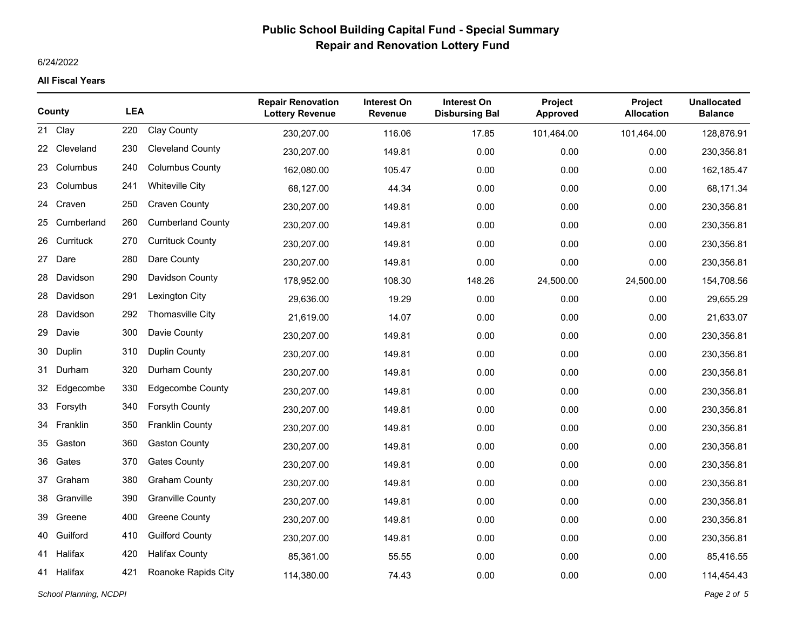## 6/24/2022

|    | County       | <b>LEA</b> |                          | <b>Repair Renovation</b><br><b>Lottery Revenue</b> | <b>Interest On</b><br><b>Revenue</b> | <b>Interest On</b><br><b>Disbursing Bal</b> | <b>Project</b><br><b>Approved</b> | Project<br><b>Allocation</b> | <b>Unallocated</b><br><b>Balance</b> |
|----|--------------|------------|--------------------------|----------------------------------------------------|--------------------------------------|---------------------------------------------|-----------------------------------|------------------------------|--------------------------------------|
| 21 | Clay         | 220        | <b>Clay County</b>       | 230,207.00                                         | 116.06                               | 17.85                                       | 101,464.00                        | 101,464.00                   | 128,876.91                           |
|    | 22 Cleveland | 230        | <b>Cleveland County</b>  | 230,207.00                                         | 149.81                               | 0.00                                        | 0.00                              | 0.00                         | 230,356.81                           |
| 23 | Columbus     | 240        | <b>Columbus County</b>   | 162,080.00                                         | 105.47                               | 0.00                                        | 0.00                              | 0.00                         | 162,185.47                           |
| 23 | Columbus     | 241        | <b>Whiteville City</b>   | 68,127.00                                          | 44.34                                | 0.00                                        | 0.00                              | 0.00                         | 68,171.34                            |
| 24 | Craven       | 250        | <b>Craven County</b>     | 230,207.00                                         | 149.81                               | 0.00                                        | 0.00                              | 0.00                         | 230,356.81                           |
| 25 | Cumberland   | 260        | <b>Cumberland County</b> | 230,207.00                                         | 149.81                               | 0.00                                        | 0.00                              | 0.00                         | 230,356.81                           |
| 26 | Currituck    | 270        | <b>Currituck County</b>  | 230,207.00                                         | 149.81                               | 0.00                                        | 0.00                              | 0.00                         | 230,356.81                           |
| 27 | Dare         | 280        | Dare County              | 230,207.00                                         | 149.81                               | 0.00                                        | 0.00                              | 0.00                         | 230,356.81                           |
| 28 | Davidson     | 290        | Davidson County          | 178,952.00                                         | 108.30                               | 148.26                                      | 24,500.00                         | 24,500.00                    | 154,708.56                           |
| 28 | Davidson     | 291        | <b>Lexington City</b>    | 29.636.00                                          | 19.29                                | 0.00                                        | 0.00                              | 0.00                         | 29,655.29                            |
| 28 | Davidson     | 292        | Thomasville City         | 21,619.00                                          | 14.07                                | 0.00                                        | 0.00                              | 0.00                         | 21,633.07                            |
| 29 | Davie        | 300        | Davie County             | 230,207.00                                         | 149.81                               | 0.00                                        | 0.00                              | 0.00                         | 230,356.81                           |
| 30 | Duplin       | 310        | <b>Duplin County</b>     | 230,207.00                                         | 149.81                               | 0.00                                        | 0.00                              | 0.00                         | 230,356.81                           |
| 31 | Durham       | 320        | Durham County            | 230,207.00                                         | 149.81                               | 0.00                                        | 0.00                              | 0.00                         | 230,356.81                           |
| 32 | Edgecombe    | 330        | <b>Edgecombe County</b>  | 230,207.00                                         | 149.81                               | 0.00                                        | 0.00                              | 0.00                         | 230,356.81                           |
|    | 33 Forsyth   | 340        | Forsyth County           | 230,207.00                                         | 149.81                               | 0.00                                        | 0.00                              | 0.00                         | 230,356.81                           |
| 34 | Franklin     | 350        | <b>Franklin County</b>   | 230,207.00                                         | 149.81                               | 0.00                                        | 0.00                              | 0.00                         | 230,356.81                           |
| 35 | Gaston       | 360        | <b>Gaston County</b>     | 230,207.00                                         | 149.81                               | 0.00                                        | 0.00                              | 0.00                         | 230,356.81                           |
| 36 | Gates        | 370        | <b>Gates County</b>      | 230,207.00                                         | 149.81                               | 0.00                                        | 0.00                              | 0.00                         | 230,356.81                           |
| 37 | Graham       | 380        | <b>Graham County</b>     | 230,207.00                                         | 149.81                               | 0.00                                        | 0.00                              | 0.00                         | 230,356.81                           |
| 38 | Granville    | 390        | <b>Granville County</b>  | 230,207.00                                         | 149.81                               | 0.00                                        | 0.00                              | 0.00                         | 230,356.81                           |
| 39 | Greene       | 400        | <b>Greene County</b>     | 230,207.00                                         | 149.81                               | 0.00                                        | 0.00                              | 0.00                         | 230,356.81                           |
| 40 | Guilford     | 410        | <b>Guilford County</b>   | 230,207.00                                         | 149.81                               | 0.00                                        | 0.00                              | 0.00                         | 230,356.81                           |
| 41 | Halifax      | 420        | <b>Halifax County</b>    | 85,361.00                                          | 55.55                                | 0.00                                        | 0.00                              | 0.00                         | 85,416.55                            |
|    | 41 Halifax   | 421        | Roanoke Rapids City      | 114,380.00                                         | 74.43                                | 0.00                                        | 0.00                              | 0.00                         | 114,454.43                           |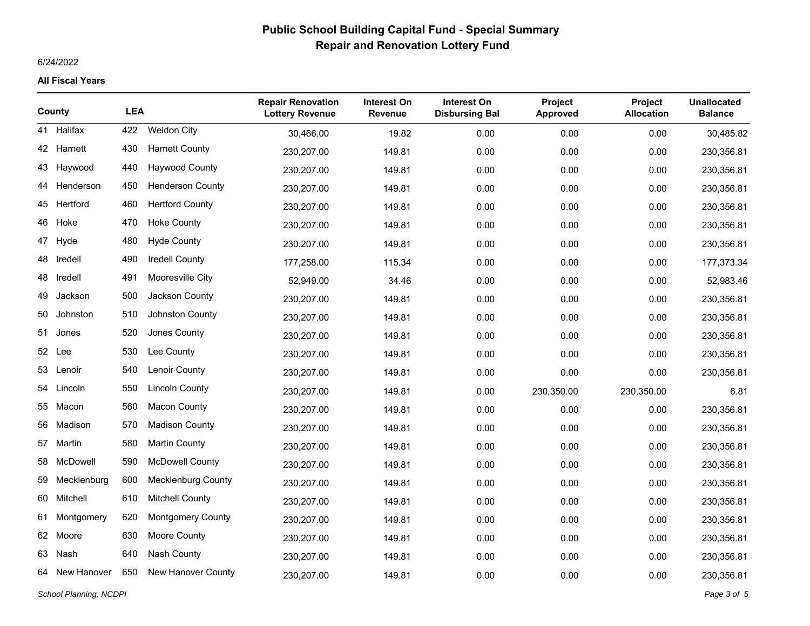## 6/24/2022

|                        | County      | <b>LEA</b> |                           | <b>Repair Renovation</b><br><b>Lottery Revenue</b> | <b>Interest On</b><br><b>Revenue</b> | <b>Interest On</b><br><b>Disbursing Bal</b> | Project<br><b>Approved</b> | Project<br><b>Allocation</b> | <b>Unallocated</b><br><b>Balance</b> |
|------------------------|-------------|------------|---------------------------|----------------------------------------------------|--------------------------------------|---------------------------------------------|----------------------------|------------------------------|--------------------------------------|
|                        | 41 Halifax  | 422        | Weldon City               | 30,466.00                                          | 19.82                                | 0.00                                        | 0.00                       | 0.00                         | 30,485.82                            |
|                        | 42 Harnett  | 430        | <b>Harnett County</b>     | 230,207.00                                         | 149.81                               | 0.00                                        | 0.00                       | 0.00                         | 230,356.81                           |
|                        | 43 Haywood  | 440        | <b>Haywood County</b>     | 230,207.00                                         | 149.81                               | 0.00                                        | 0.00                       | 0.00                         | 230,356.81                           |
| 44                     | Henderson   | 450        | <b>Henderson County</b>   | 230,207.00                                         | 149.81                               | 0.00                                        | 0.00                       | 0.00                         | 230,356.81                           |
|                        | 45 Hertford | 460        | <b>Hertford County</b>    | 230,207.00                                         | 149.81                               | 0.00                                        | 0.00                       | 0.00                         | 230,356.81                           |
|                        | 46 Hoke     | 470        | <b>Hoke County</b>        | 230,207.00                                         | 149.81                               | 0.00                                        | 0.00                       | 0.00                         | 230,356.81                           |
| 47                     | Hyde        | 480        | <b>Hyde County</b>        | 230,207.00                                         | 149.81                               | 0.00                                        | 0.00                       | 0.00                         | 230,356.81                           |
| 48                     | Iredell     | 490        | Iredell County            | 177,258.00                                         | 115.34                               | 0.00                                        | 0.00                       | 0.00                         | 177,373.34                           |
| 48                     | Iredell     | 491        | Mooresville City          | 52,949.00                                          | 34.46                                | 0.00                                        | 0.00                       | 0.00                         | 52,983.46                            |
| 49                     | Jackson     | 500        | Jackson County            | 230,207.00                                         | 149.81                               | 0.00                                        | 0.00                       | 0.00                         | 230,356.81                           |
| 50                     | Johnston    | 510        | Johnston County           | 230,207.00                                         | 149.81                               | 0.00                                        | 0.00                       | 0.00                         | 230,356.81                           |
| 51                     | Jones       | 520        | Jones County              | 230,207.00                                         | 149.81                               | 0.00                                        | 0.00                       | 0.00                         | 230,356.81                           |
|                        | 52 Lee      | 530        | Lee County                | 230,207.00                                         | 149.81                               | 0.00                                        | 0.00                       | 0.00                         | 230,356.81                           |
| 53                     | Lenoir      | 540        | Lenoir County             | 230,207.00                                         | 149.81                               | 0.00                                        | 0.00                       | 0.00                         | 230,356.81                           |
| 54                     | Lincoln     | 550        | <b>Lincoln County</b>     | 230,207.00                                         | 149.81                               | 0.00                                        | 230,350.00                 | 230,350.00                   | 6.81                                 |
|                        | 55 Macon    | 560        | <b>Macon County</b>       | 230,207.00                                         | 149.81                               | 0.00                                        | 0.00                       | 0.00                         | 230,356.81                           |
| 56                     | Madison     | 570        | <b>Madison County</b>     | 230,207.00                                         | 149.81                               | 0.00                                        | 0.00                       | 0.00                         | 230,356.81                           |
| 57                     | Martin      | 580        | <b>Martin County</b>      | 230,207.00                                         | 149.81                               | 0.00                                        | 0.00                       | 0.00                         | 230,356.81                           |
| 58                     | McDowell    | 590        | <b>McDowell County</b>    | 230,207.00                                         | 149.81                               | 0.00                                        | 0.00                       | 0.00                         | 230,356.81                           |
| 59                     | Mecklenburg | 600        | <b>Mecklenburg County</b> | 230,207.00                                         | 149.81                               | 0.00                                        | 0.00                       | 0.00                         | 230,356.81                           |
| 60                     | Mitchell    | 610        | <b>Mitchell County</b>    | 230,207.00                                         | 149.81                               | 0.00                                        | 0.00                       | 0.00                         | 230,356.81                           |
| 61                     | Montgomery  | 620        | <b>Montgomery County</b>  | 230,207.00                                         | 149.81                               | 0.00                                        | 0.00                       | 0.00                         | 230,356.81                           |
|                        | 62 Moore    | 630        | Moore County              | 230,207.00                                         | 149.81                               | 0.00                                        | 0.00                       | 0.00                         | 230,356.81                           |
| 63                     | Nash        | 640        | Nash County               | 230,207.00                                         | 149.81                               | 0.00                                        | 0.00                       | 0.00                         | 230,356.81                           |
| 64                     | New Hanover | 650        | New Hanover County        | 230,207.00                                         | 149.81                               | 0.00                                        | 0.00                       | 0.00                         | 230,356.81                           |
| School Planning, NCDPI |             |            |                           |                                                    |                                      |                                             |                            |                              | Page 3 of 5                          |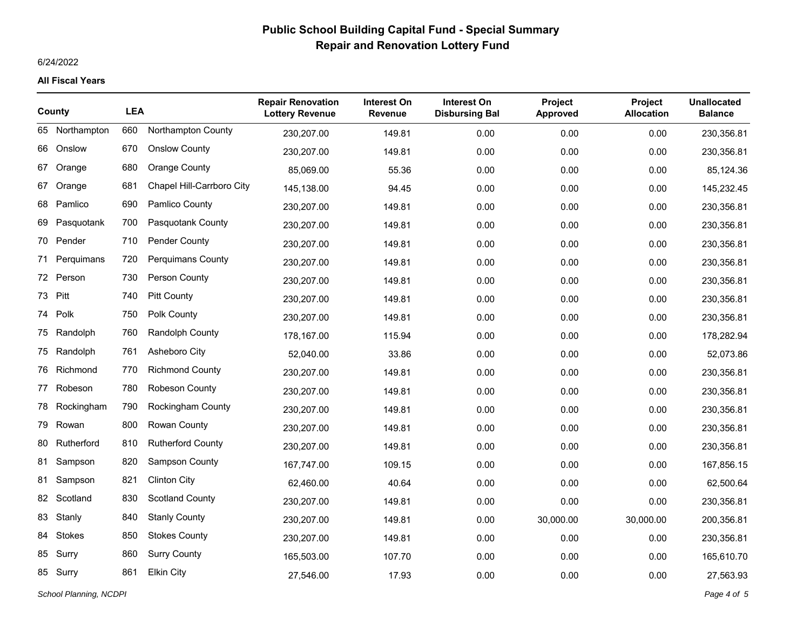## 6/24/2022

|    | County         | <b>LEA</b> |                           | <b>Repair Renovation</b><br><b>Lottery Revenue</b> | <b>Interest On</b><br><b>Revenue</b> | Interest On<br><b>Disbursing Bal</b> | Project<br><b>Approved</b> | Project<br><b>Allocation</b> | <b>Unallocated</b><br><b>Balance</b> |
|----|----------------|------------|---------------------------|----------------------------------------------------|--------------------------------------|--------------------------------------|----------------------------|------------------------------|--------------------------------------|
|    | 65 Northampton | 660        | Northampton County        | 230,207.00                                         | 149.81                               | 0.00                                 | 0.00                       | 0.00                         | 230,356.81                           |
| 66 | Onslow         | 670        | <b>Onslow County</b>      | 230,207.00                                         | 149.81                               | 0.00                                 | 0.00                       | 0.00                         | 230,356.81                           |
| 67 | Orange         | 680        | <b>Orange County</b>      | 85,069.00                                          | 55.36                                | 0.00                                 | 0.00                       | 0.00                         | 85,124.36                            |
| 67 | Orange         | 681        | Chapel Hill-Carrboro City | 145,138.00                                         | 94.45                                | 0.00                                 | 0.00                       | 0.00                         | 145,232.45                           |
| 68 | Pamlico        | 690        | Pamlico County            | 230,207.00                                         | 149.81                               | 0.00                                 | 0.00                       | 0.00                         | 230,356.81                           |
| 69 | Pasquotank     | 700        | Pasquotank County         | 230,207.00                                         | 149.81                               | 0.00                                 | 0.00                       | 0.00                         | 230,356.81                           |
|    | 70 Pender      | 710        | Pender County             | 230,207.00                                         | 149.81                               | 0.00                                 | 0.00                       | 0.00                         | 230,356.81                           |
| 71 | Perguimans     | 720        | <b>Perquimans County</b>  | 230,207.00                                         | 149.81                               | 0.00                                 | 0.00                       | 0.00                         | 230,356.81                           |
|    | 72 Person      | 730        | Person County             | 230,207.00                                         | 149.81                               | 0.00                                 | 0.00                       | 0.00                         | 230,356.81                           |
| 73 | Pitt           | 740        | <b>Pitt County</b>        | 230,207.00                                         | 149.81                               | 0.00                                 | 0.00                       | 0.00                         | 230,356.81                           |
|    | 74 Polk        | 750        | Polk County               | 230,207.00                                         | 149.81                               | 0.00                                 | 0.00                       | 0.00                         | 230,356.81                           |
| 75 | Randolph       | 760        | Randolph County           | 178,167.00                                         | 115.94                               | 0.00                                 | 0.00                       | 0.00                         | 178,282.94                           |
|    | 75 Randolph    | 761        | Asheboro City             | 52,040.00                                          | 33.86                                | 0.00                                 | 0.00                       | 0.00                         | 52,073.86                            |
| 76 | Richmond       | 770        | <b>Richmond County</b>    | 230,207.00                                         | 149.81                               | 0.00                                 | 0.00                       | 0.00                         | 230,356.81                           |
| 77 | Robeson        | 780        | Robeson County            | 230,207.00                                         | 149.81                               | 0.00                                 | 0.00                       | 0.00                         | 230,356.81                           |
| 78 | Rockingham     | 790        | <b>Rockingham County</b>  | 230,207.00                                         | 149.81                               | 0.00                                 | 0.00                       | 0.00                         | 230,356.81                           |
| 79 | Rowan          | 800        | Rowan County              | 230,207.00                                         | 149.81                               | 0.00                                 | 0.00                       | 0.00                         | 230,356.81                           |
| 80 | Rutherford     | 810        | <b>Rutherford County</b>  | 230,207.00                                         | 149.81                               | 0.00                                 | 0.00                       | 0.00                         | 230,356.81                           |
| 81 | Sampson        | 820        | Sampson County            | 167,747.00                                         | 109.15                               | 0.00                                 | 0.00                       | 0.00                         | 167,856.15                           |
| 81 | Sampson        | 821        | <b>Clinton City</b>       | 62,460.00                                          | 40.64                                | 0.00                                 | 0.00                       | 0.00                         | 62,500.64                            |
|    | 82 Scotland    | 830        | <b>Scotland County</b>    | 230,207.00                                         | 149.81                               | 0.00                                 | 0.00                       | 0.00                         | 230,356.81                           |
| 83 | Stanly         | 840        | <b>Stanly County</b>      | 230,207.00                                         | 149.81                               | 0.00                                 | 30,000.00                  | 30,000.00                    | 200,356.81                           |
| 84 | Stokes         | 850        | <b>Stokes County</b>      | 230,207.00                                         | 149.81                               | 0.00                                 | 0.00                       | 0.00                         | 230,356.81                           |
| 85 | Surry          | 860        | <b>Surry County</b>       | 165,503.00                                         | 107.70                               | 0.00                                 | 0.00                       | 0.00                         | 165,610.70                           |
|    | 85 Surry       | 861        | <b>Elkin City</b>         | 27,546.00                                          | 17.93                                | 0.00                                 | 0.00                       | 0.00                         | 27,563.93                            |